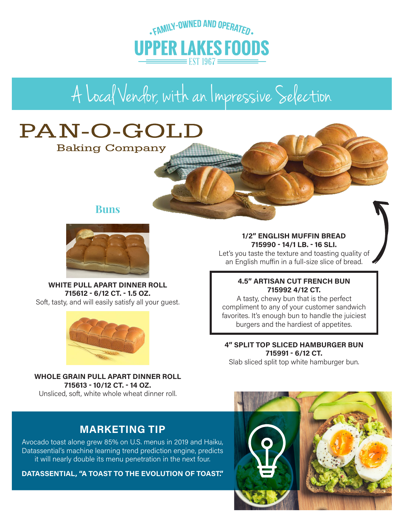

# A Local Vendor, with an Impressive Selection

## PAN-O-GOLD

**Baking Company** 

### **Buns**



**WHITE PULL APART DINNER ROLL 715612 - 6/12 CT. - 1.5 OZ.**  Soft, tasty, and will easily satisfy all your guest.



**WHOLE GRAIN PULL APART DINNER ROLL 715613 - 10/12 CT. - 14 OZ.**  Unsliced, soft, white whole wheat dinner roll.

### **MARKETING TIP**

Avocado toast alone grew 85% on U.S. menus in 2019 and Haiku, Datassential's machine learning trend prediction engine, predicts it will nearly double its menu penetration in the next four.

**DATASSENTIAL, "A TOAST TO THE EVOLUTION OF TOAST."**

### **1/2" ENGLISH MUFFIN BREAD 715990 - 14/1 LB. - 16 SLI.**

Let's you taste the texture and toasting quality of an English muffin in a full-size slice of bread.

### **4.5" ARTISAN CUT FRENCH BUN 715992 4/12 CT.**

A tasty, chewy bun that is the perfect compliment to any of your customer sandwich favorites. It's enough bun to handle the juiciest burgers and the hardiest of appetites.

### **4" SPLIT TOP SLICED HAMBURGER BUN 715991 - 6/12 CT.**

Slab sliced split top white hamburger bun.